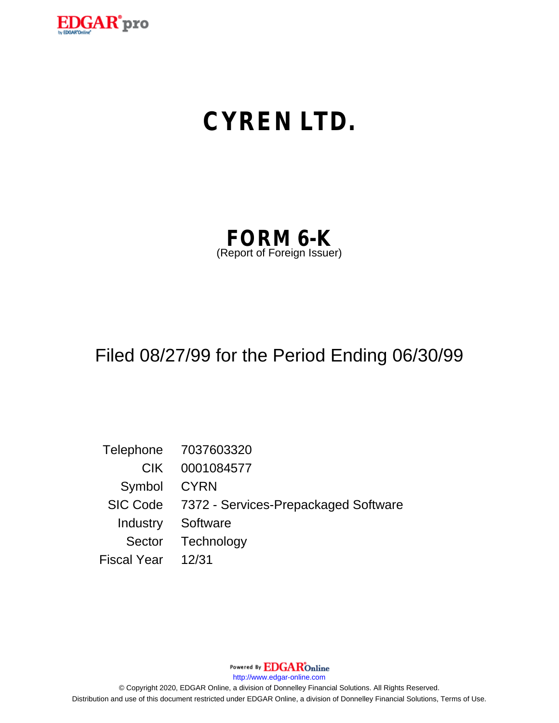

# **CYREN LTD.**

| <b>FORM 6-K</b>            |  |
|----------------------------|--|
| (Report of Foreign Issuer) |  |

### Filed 08/27/99 for the Period Ending 06/30/99

Telephone 7037603320 CIK 0001084577 Symbol CYRN SIC Code 7372 - Services-Prepackaged Software Industry Software Sector Technology Fiscal Year 12/31

Powered By **EDGAR**Online

http://www.edgar-online.com

© Copyright 2020, EDGAR Online, a division of Donnelley Financial Solutions. All Rights Reserved. Distribution and use of this document restricted under EDGAR Online, a division of Donnelley Financial Solutions, Terms of Use.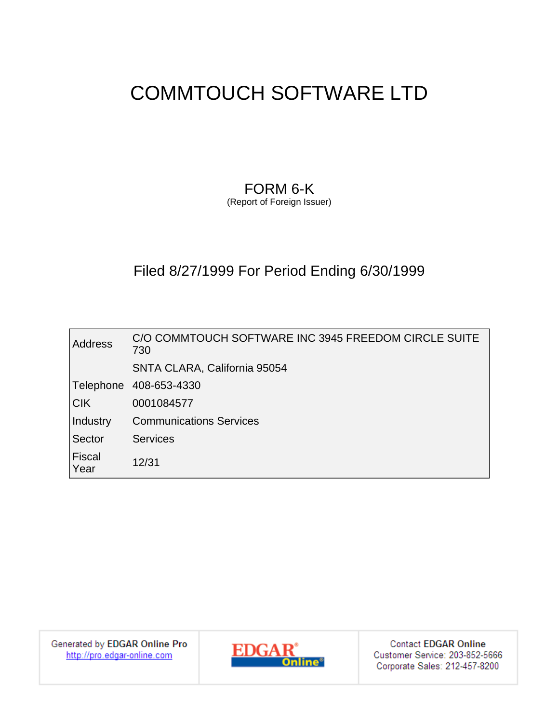### FORM 6-K

(Report of Foreign Issuer)

### Filed 8/27/1999 For Period Ending 6/30/1999

| <b>Address</b>        | C/O COMMTOUCH SOFTWARE INC 3945 FREEDOM CIRCLE SUITE<br>730 |
|-----------------------|-------------------------------------------------------------|
|                       | SNTA CLARA, California 95054                                |
| Telephone             | 408-653-4330                                                |
| $ C$ K                | 0001084577                                                  |
| Industry              | <b>Communications Services</b>                              |
| Sector                | <b>Services</b>                                             |
| <b>Fiscal</b><br>Year | 12/31                                                       |

Generated by EDGAR Online Pro http://pro.edgar-online.com



**Contact EDGAR Online** Customer Service: 203-852-5666 Corporate Sales: 212-457-8200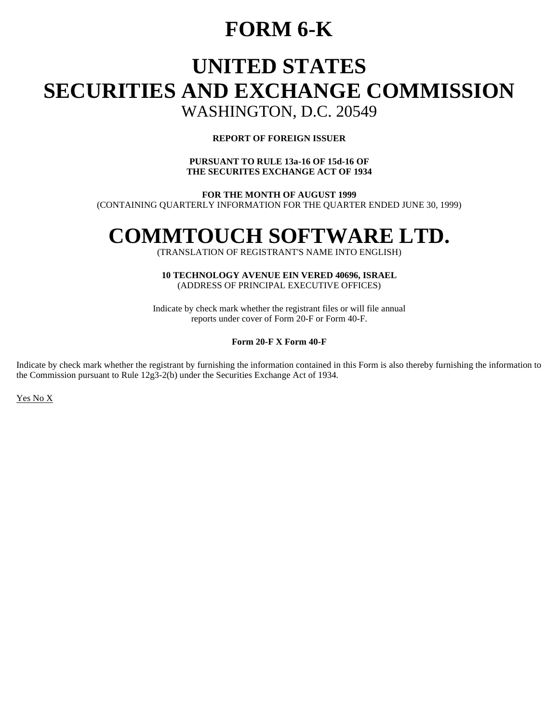### **FORM 6-K**

# **UNITED STATES SECURITIES AND EXCHANGE COMMISSION**

### WASHINGTON, D.C. 20549

#### **REPORT OF FOREIGN ISSUER**

#### **PURSUANT TO RULE 13a-16 OF 15d-16 OF THE SECURITES EXCHANGE ACT OF 1934**

**FOR THE MONTH OF AUGUST 1999**  (CONTAINING QUARTERLY INFORMATION FOR THE QUARTER ENDED JUNE 30, 1999)

## **COMMTOUCH SOFTWARE LTD.**

(TRANSLATION OF REGISTRANT'S NAME INTO ENGLISH)

**10 TECHNOLOGY AVENUE EIN VERED 40696, ISRAEL**  (ADDRESS OF PRINCIPAL EXECUTIVE OFFICES)

Indicate by check mark whether the registrant files or will file annual reports under cover of Form 20-F or Form 40-F.

#### **Form 20-F X Form 40-F**

Indicate by check mark whether the registrant by furnishing the information contained in this Form is also thereby furnishing the information to the Commission pursuant to Rule 12g3-2(b) under the Securities Exchange Act of 1934.

Yes No X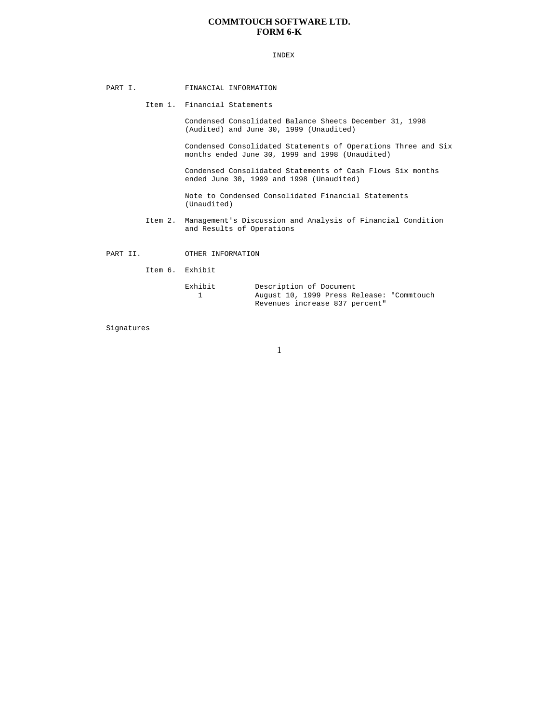#### **COMMTOUCH SOFTWARE LTD. FORM 6-K**

#### INDEX

- PART I. FINANCIAL INFORMATION
	- Item 1. Financial Statements

 Condensed Consolidated Balance Sheets December 31, 1998 (Audited) and June 30, 1999 (Unaudited)

 Condensed Consolidated Statements of Operations Three and Six months ended June 30, 1999 and 1998 (Unaudited)

 Condensed Consolidated Statements of Cash Flows Six months ended June 30, 1999 and 1998 (Unaudited)

 Note to Condensed Consolidated Financial Statements (Unaudited)

- Item 2. Management's Discussion and Analysis of Financial Condition and Results of Operations
- PART II. OTHER INFORMATION

Item 6. Exhibit

| Exhibit | Description of Document                   |
|---------|-------------------------------------------|
|         | August 10, 1999 Press Release: "Commtouch |
|         | Revenues increase 837 percent"            |

Signatures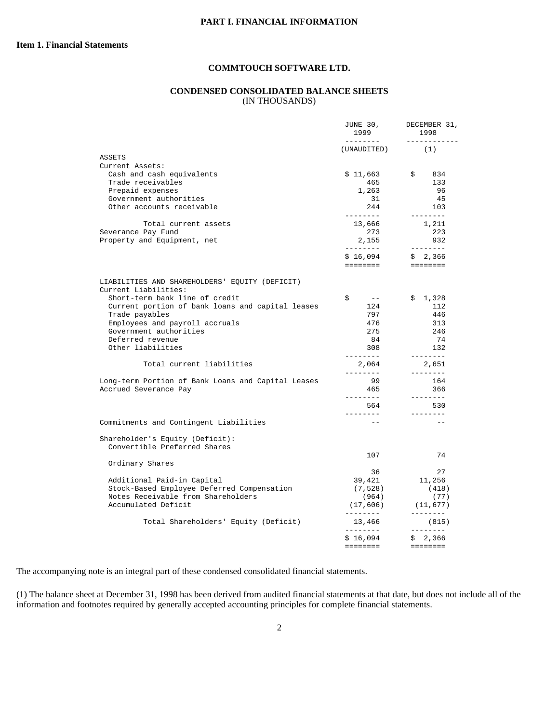#### **CONDENSED CONSOLIDATED BALANCE SHEETS**  (IN THOUSANDS)

|                                                                        | JUNE 30,<br>1999               | DECEMBER 31,<br>1998                                                    |  |
|------------------------------------------------------------------------|--------------------------------|-------------------------------------------------------------------------|--|
|                                                                        | ---------<br>(UNAUDITED)       | ------------<br>(1)                                                     |  |
| ASSETS                                                                 |                                |                                                                         |  |
| Current Assets:                                                        |                                |                                                                         |  |
| Cash and cash equivalents                                              | \$11,663                       | $\ddot{s}$<br>834                                                       |  |
| Trade receivables                                                      | 465                            | 133                                                                     |  |
| Prepaid expenses                                                       | 1,263                          | 96                                                                      |  |
| Government authorities                                                 | 31                             | 45                                                                      |  |
| Other accounts receivable                                              | 244<br>---------               | 103<br>--------                                                         |  |
| Total current assets                                                   | 13,666                         | 1,211                                                                   |  |
| Severance Pay Fund                                                     | 273                            | 223                                                                     |  |
| Property and Equipment, net                                            | 2,155                          | 932                                                                     |  |
|                                                                        | ---------<br>\$16,094          | --------<br>\$2,366                                                     |  |
|                                                                        | ========                       | $=$ ========                                                            |  |
| LIABILITIES AND SHAREHOLDERS' EQUITY (DEFICIT)<br>Current Liabilities: |                                |                                                                         |  |
| Short-term bank line of credit                                         | \$<br>$\sim$ $ -$              | \$1,328                                                                 |  |
| Current portion of bank loans and capital leases                       | 124                            | 112                                                                     |  |
| Trade payables                                                         | 797                            | 446                                                                     |  |
| Employees and payroll accruals                                         | 476                            | 313                                                                     |  |
| Government authorities                                                 | 275                            | 246                                                                     |  |
| Deferred revenue                                                       | 84                             | 74                                                                      |  |
| Other liabilities                                                      | 308                            | 132                                                                     |  |
| Total current liabilities                                              | --------<br>2,064<br>--------- | $- - - - - - - -$<br>2,651<br>$- - - - - - - -$                         |  |
| Long-term Portion of Bank Loans and Capital Leases                     | 99                             | 164                                                                     |  |
| Accrued Severance Pay                                                  | 465                            | 366                                                                     |  |
|                                                                        | ---------                      | $- - - - - - - -$                                                       |  |
|                                                                        | 564<br>--------                | 530<br>- - - - - - - -                                                  |  |
| Commitments and Contingent Liabilities                                 | $- -$                          |                                                                         |  |
| Shareholder's Equity (Deficit):                                        |                                |                                                                         |  |
| Convertible Preferred Shares                                           |                                |                                                                         |  |
| Ordinary Shares                                                        | 107                            | 74                                                                      |  |
|                                                                        | 36                             | 27                                                                      |  |
| Additional Paid-in Capital                                             | 39,421                         | 11,256                                                                  |  |
| Stock-Based Employee Deferred Compensation                             | (7, 528)                       | (418)                                                                   |  |
| Notes Receivable from Shareholders                                     | (964)                          | (77)                                                                    |  |
| Accumulated Deficit                                                    | (17, 606)                      | (11, 677)                                                               |  |
| Total Shareholders' Equity (Deficit)                                   | ---------<br>13,466            | (815)                                                                   |  |
|                                                                        | ---------                      |                                                                         |  |
|                                                                        | \$16,094                       | \$2,366                                                                 |  |
|                                                                        | ========                       | $\qquad \qquad \equiv \equiv \equiv \equiv \equiv \equiv \equiv \equiv$ |  |

The accompanying note is an integral part of these condensed consolidated financial statements.

(1) The balance sheet at December 31, 1998 has been derived from audited financial statements at that date, but does not include all of the information and footnotes required by generally accepted accounting principles for complete financial statements.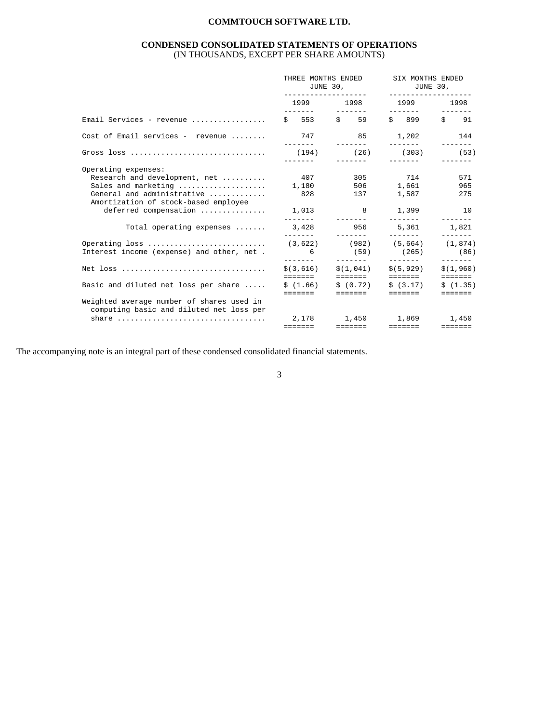#### **CONDENSED CONSOLIDATED STATEMENTS OF OPERATIONS**  (IN THOUSANDS, EXCEPT PER SHARE AMOUNTS)

|                                                                                                                                                                                                        | THREE MONTHS ENDED<br>JUNE 30,<br>-------------------- |                                                                       | SIX MONTHS ENDED<br>JUNE 30,<br>-------------------                                                                                                                                                                             |                               |
|--------------------------------------------------------------------------------------------------------------------------------------------------------------------------------------------------------|--------------------------------------------------------|-----------------------------------------------------------------------|---------------------------------------------------------------------------------------------------------------------------------------------------------------------------------------------------------------------------------|-------------------------------|
|                                                                                                                                                                                                        |                                                        | 1999 1998                                                             | 1999 — 1999 — 1990 — 1990 — 1990 — 1990 — 1990 — 1990 — 1990 — 1990 — 1990 — 1990 — 1990 — 1990 — 1990 — 1990 — 1990 — 1990 — 1990 — 1990 — 1990 — 1990 — 1990 — 1990 — 1990 — 1990 — 1990 — 1990 — 1990 — 1990 — 1990 — 1990 — | 1998                          |
| Email Services - revenue                                                                                                                                                                               |                                                        | $$553$ $$59$                                                          | \$899                                                                                                                                                                                                                           | $\sin 91$                     |
| Cost of Email services - revenue                                                                                                                                                                       | 747 85                                                 | --------                                                              | 1,202                                                                                                                                                                                                                           | 144                           |
|                                                                                                                                                                                                        | (194)                                                  | (26)                                                                  | (303)<br>________                                                                                                                                                                                                               | (53)                          |
| Operating expenses:<br>Research and development, net<br>Sales and marketing<br>General and administrative<br>Amortization of stock-based employee<br>deferred compensation<br>Total operating expenses | 407<br>--------<br>3,428<br>--------                   | 1,180 506 1,661<br>828 137 1,587<br>1,013 8 1,399<br>956              | 305 714<br>________<br>5,361 1,821                                                                                                                                                                                              | 571<br>965<br>275<br>10       |
| Operating loss<br>Interest income (expense) and other, net.                                                                                                                                            | 6                                                      | $(3,622)$ $(982)$ $(5,664)$ $(1,874)$<br>(59)<br>________             | (265)                                                                                                                                                                                                                           | (86)                          |
|                                                                                                                                                                                                        | \$ (3.616)                                             | \$(1,041)                                                             | \$(5,929)                                                                                                                                                                                                                       | \$(1,960)                     |
| Basic and diluted net loss per share                                                                                                                                                                   |                                                        | $\sin(1.66)$ $\sin(0.72)$ $\sin(3.17)$<br>=======   =======   ======= |                                                                                                                                                                                                                                 | \$(1.35)<br>$= = = = = = = =$ |
| Weighted average number of shares used in<br>computing basic and diluted net loss per<br>share $\ldots \ldots \ldots \ldots \ldots \ldots \ldots \ldots \ldots \ldots$                                 |                                                        | 2,178 1,450 1,869 1,450                                               |                                                                                                                                                                                                                                 |                               |

The accompanying note is an integral part of these condensed consolidated financial statements.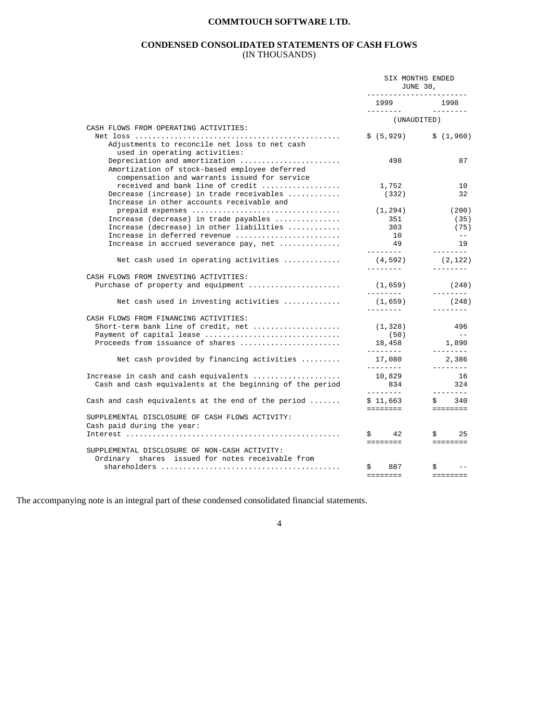#### **CONDENSED CONSOLIDATED STATEMENTS OF CASH FLOWS**  (IN THOUSANDS)

|                                                                                                                                                             | SIX MONTHS ENDED<br>JUNE 30,<br>________________________ |                                                                        |
|-------------------------------------------------------------------------------------------------------------------------------------------------------------|----------------------------------------------------------|------------------------------------------------------------------------|
|                                                                                                                                                             | 1999                                                     | 1998<br>$- - - - - - - -$                                              |
| CASH FLOWS FROM OPERATING ACTIVITIES:                                                                                                                       | (UNAUDITED)                                              |                                                                        |
| Adjustments to reconcile net loss to net cash<br>used in operating activities:                                                                              |                                                          | $$(5,929)$ $$(1,960)$                                                  |
| Depreciation and amortization<br>Amortization of stock-based employee deferred<br>compensation and warrants issued for service                              | 498                                                      | 87                                                                     |
| received and bank line of credit<br>Decrease (increase) in trade receivables<br>Increase in other accounts receivable and                                   | 1,752<br>(332)                                           | 10<br>32                                                               |
| Increase (decrease) in trade payables<br>Increase (decrease) in other liabilities<br>Increase in deferred revenue<br>Increase in accrued severance pay, net | (1, 294)<br>351<br>303<br>10<br>49                       | (200)<br>(35)<br>(75)<br>$\sim$ $-$<br>19                              |
| Net cash used in operating activities                                                                                                                       | ---------<br>(4, 592)                                    | --------<br>(2, 122)                                                   |
| CASH FLOWS FROM INVESTING ACTIVITIES:<br>Purchase of property and equipment                                                                                 | ---------<br>(1,659)                                     | --------<br>(248)                                                      |
| Net cash used in investing activities                                                                                                                       | _________<br>(1,659)                                     | --------<br>(248)                                                      |
| CASH FLOWS FROM FINANCING ACTIVITIES:<br>Short-term bank line of credit, net<br>Payment of capital lease<br>Proceeds from issuance of shares                | ---------<br>(1, 328)<br>(50)<br>18,458                  | --------<br>496<br>$\sim$ $-$<br>1,890<br>$- - - - - - - -$            |
| Net cash provided by financing activities                                                                                                                   | ---------<br>17,080<br><u> Leonard M</u>                 | 2,386<br><u>________</u>                                               |
| Increase in cash and cash equivalents<br>Cash and cash equivalents at the beginning of the period                                                           | 10,829<br>834<br>---------                               | 16<br>324<br>---------                                                 |
| Cash and cash equivalents at the end of the period $\dots\dots$                                                                                             | \$11,663<br>eessesse i                                   | \$340<br><b>EEEEEEEE</b>                                               |
| SUPPLEMENTAL DISCLOSURE OF CASH FLOWS ACTIVITY:<br>Cash paid during the year:                                                                               |                                                          |                                                                        |
|                                                                                                                                                             | $\sin 42$<br>========                                    | $\sin 25$<br>$\equiv \equiv \equiv \equiv \equiv \equiv \equiv \equiv$ |
| SUPPLEMENTAL DISCLOSURE OF NON-CASH ACTIVITY:<br>Ordinary shares issued for notes receivable from                                                           |                                                          |                                                                        |
|                                                                                                                                                             | $\ddot{s}$<br>887<br><b>EEEEEEE</b>                      | $\ddot{s}$<br><b>EEEEEEEE</b>                                          |

The accompanying note is an integral part of these condensed consolidated financial statements.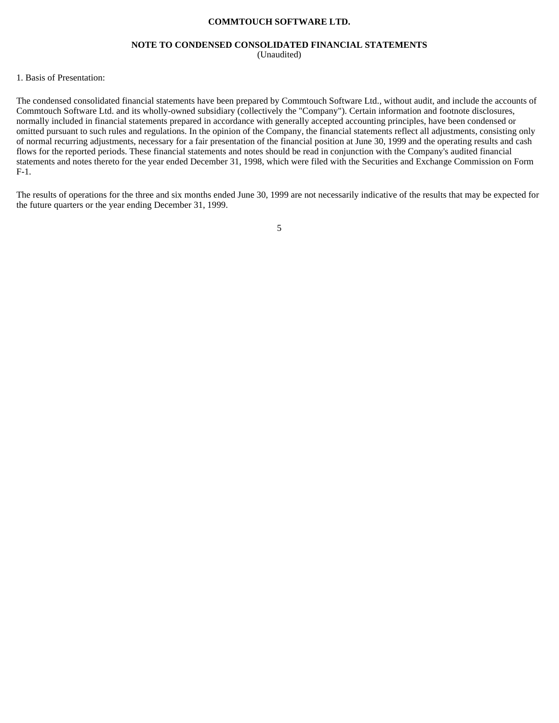#### **NOTE TO CONDENSED CONSOLIDATED FINANCIAL STATEMENTS**  (Unaudited)

#### 1. Basis of Presentation:

The condensed consolidated financial statements have been prepared by Commtouch Software Ltd., without audit, and include the accounts of Commtouch Software Ltd. and its wholly-owned subsidiary (collectively the "Company"). Certain information and footnote disclosures, normally included in financial statements prepared in accordance with generally accepted accounting principles, have been condensed or omitted pursuant to such rules and regulations. In the opinion of the Company, the financial statements reflect all adjustments, consisting only of normal recurring adjustments, necessary for a fair presentation of the financial position at June 30, 1999 and the operating results and cash flows for the reported periods. These financial statements and notes should be read in conjunction with the Company's audited financial statements and notes thereto for the year ended December 31, 1998, which were filed with the Securities and Exchange Commission on Form F-1.

The results of operations for the three and six months ended June 30, 1999 are not necessarily indicative of the results that may be expected for the future quarters or the year ending December 31, 1999.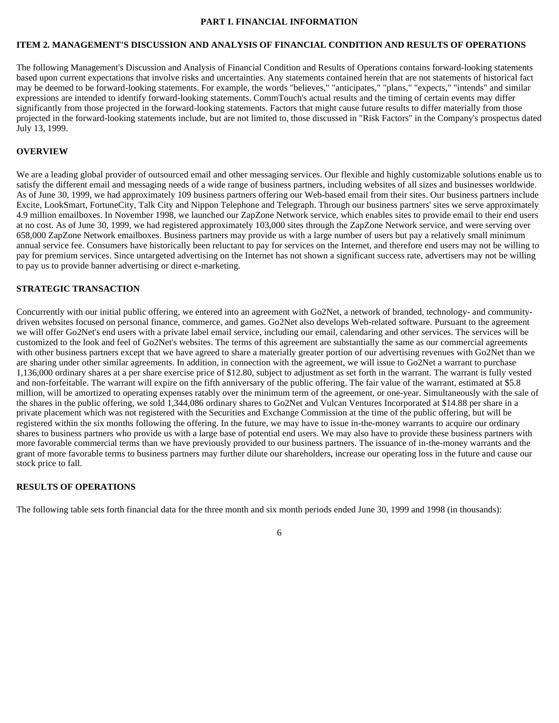#### **PART I. FINANCIAL INFORMATION**

#### **ITEM 2. MANAGEMENT'S DISCUSSION AND ANALYSIS OF FINANCIAL CONDITION AND RESULTS OF OPERATIONS**

The following Management's Discussion and Analysis of Financial Condition and Results of Operations contains forward-looking statements based upon current expectations that involve risks and uncertainties. Any statements contained herein that are not statements of historical fact may be deemed to be forward-looking statements. For example, the words "believes," "anticipates," "plans," "expects," "intends" and similar expressions are intended to identify forward-looking statements. CommTouch's actual results and the timing of certain events may differ significantly from those projected in the forward-looking statements. Factors that might cause future results to differ materially from those projected in the forward-looking statements include, but are not limited to, those discussed in "Risk Factors" in the Company's prospectus dated July 13, 1999.

#### **OVERVIEW**

We are a leading global provider of outsourced email and other messaging services. Our flexible and highly customizable solutions enable us to satisfy the different email and messaging needs of a wide range of business partners, including websites of all sizes and businesses worldwide. As of June 30, 1999, we had approximately 109 business partners offering our Web-based email from their sites. Our business partners include Excite, LookSmart, FortuneCity, Talk City and Nippon Telephone and Telegraph. Through our business partners' sites we serve approximately 4.9 million emailboxes. In November 1998, we launched our ZapZone Network service, which enables sites to provide email to their end users at no cost. As of June 30, 1999, we had registered approximately 103,000 sites through the ZapZone Network service, and were serving over 658,000 ZapZone Network emailboxes. Business partners may provide us with a large number of users but pay a relatively small minimum annual service fee. Consumers have historically been reluctant to pay for services on the Internet, and therefore end users may not be willing to pay for premium services. Since untargeted advertising on the Internet has not shown a significant success rate, advertisers may not be willing to pay us to provide banner advertising or direct e-marketing.

#### **STRATEGIC TRANSACTION**

Concurrently with our initial public offering, we entered into an agreement with Go2Net, a network of branded, technology- and communitydriven websites focused on personal finance, commerce, and games. Go2Net also develops Web-related software. Pursuant to the agreement we will offer Go2Net's end users with a private label email service, including our email, calendaring and other services. The services will be customized to the look and feel of Go2Net's websites. The terms of this agreement are substantially the same as our commercial agreements with other business partners except that we have agreed to share a materially greater portion of our advertising revenues with Go2Net than we are sharing under other similar agreements. In addition, in connection with the agreement, we will issue to Go2Net a warrant to purchase 1,136,000 ordinary shares at a per share exercise price of \$12.80, subject to adjustment as set forth in the warrant. The warrant is fully vested and non-forfeitable. The warrant will expire on the fifth anniversary of the public offering. The fair value of the warrant, estimated at \$5.8 million, will be amortized to operating expenses ratably over the minimum term of the agreement, or one-year. Simultaneously with the sale of the shares in the public offering, we sold 1,344,086 ordinary shares to Go2Net and Vulcan Ventures Incorporated at \$14.88 per share in a private placement which was not registered with the Securities and Exchange Commission at the time of the public offering, but will be registered within the six months following the offering. In the future, we may have to issue in-the-money warrants to acquire our ordinary shares to business partners who provide us with a large base of potential end users. We may also have to provide these business partners with more favorable commercial terms than we have previously provided to our business partners. The issuance of in-the-money warrants and the grant of more favorable terms to business partners may further dilute our shareholders, increase our operating loss in the future and cause our stock price to fall.

#### **RESULTS OF OPERATIONS**

The following table sets forth financial data for the three month and six month periods ended June 30, 1999 and 1998 (in thousands):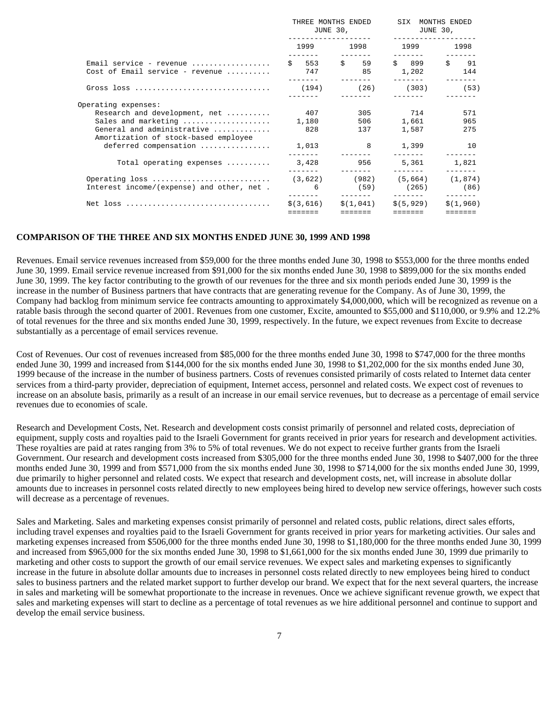|                                                                    | THREE MONTHS ENDED SIX MONTHS ENDED<br>JUNE 30,<br>____________________ |                                                         | $JUNE30$ ,<br>_____________________                                                                                                                                                                                                                                                                                                                                                                                                                                                 |                      |  |
|--------------------------------------------------------------------|-------------------------------------------------------------------------|---------------------------------------------------------|-------------------------------------------------------------------------------------------------------------------------------------------------------------------------------------------------------------------------------------------------------------------------------------------------------------------------------------------------------------------------------------------------------------------------------------------------------------------------------------|----------------------|--|
|                                                                    |                                                                         | 1999 1998                                               | $\begin{tabular}{ccccccccc} \multicolumn{2}{c}{} & \multicolumn{2}{c}{} & \multicolumn{2}{c}{} & \multicolumn{2}{c}{} & \multicolumn{2}{c}{} & \multicolumn{2}{c}{} & \multicolumn{2}{c}{} & \multicolumn{2}{c}{} & \multicolumn{2}{c}{} & \multicolumn{2}{c}{} & \multicolumn{2}{c}{} & \multicolumn{2}{c}{} & \multicolumn{2}{c}{} & \multicolumn{2}{c}{} & \multicolumn{2}{c}{} & \multicolumn{2}{c}{} & \multicolumn{2}{c}{} & \multicolumn{2}{c}{} & \multicolumn{2}{c}{} & \$ | 1999 1998            |  |
| Email service - revenue<br>Cost of Email service - revenue         |                                                                         | \$ 553 \$ 59 \$ 899 \$ 91<br>747 85 1,202 144           |                                                                                                                                                                                                                                                                                                                                                                                                                                                                                     |                      |  |
|                                                                    |                                                                         |                                                         | $\begin{tabular}{ccccccccc} \multicolumn{2}{c}{} & \multicolumn{2}{c}{} & \multicolumn{2}{c}{} & \multicolumn{2}{c}{} & \multicolumn{2}{c}{} & \multicolumn{2}{c}{} & \multicolumn{2}{c}{} & \multicolumn{2}{c}{} & \multicolumn{2}{c}{} & \multicolumn{2}{c}{} & \multicolumn{2}{c}{} & \multicolumn{2}{c}{} & \multicolumn{2}{c}{} & \multicolumn{2}{c}{} & \multicolumn{2}{c}{} & \multicolumn{2}{c}{} & \multicolumn{2}{c}{} & \multicolumn{2}{c}{} & \multicolumn{2}{c}{} & \$ |                      |  |
| Operating expenses:                                                |                                                                         |                                                         |                                                                                                                                                                                                                                                                                                                                                                                                                                                                                     |                      |  |
| Research and development, net                                      | 407                                                                     |                                                         | 305 714                                                                                                                                                                                                                                                                                                                                                                                                                                                                             | 571                  |  |
| Sales and marketing                                                | 1,180                                                                   | 506 700                                                 |                                                                                                                                                                                                                                                                                                                                                                                                                                                                                     | 1,661 965            |  |
| General and administrative<br>Amortization of stock-based employee | 828 328                                                                 | 137                                                     | 1,587                                                                                                                                                                                                                                                                                                                                                                                                                                                                               | 275                  |  |
| deferred compensation                                              |                                                                         | 1,013 8 1,399 10                                        |                                                                                                                                                                                                                                                                                                                                                                                                                                                                                     |                      |  |
| Total operating expenses $\ldots \ldots \ldots$ 3,428 956          | --------                                                                | <u>in die die die seine Sta</u>                         | <u> Liberatus (m. 19</u>                                                                                                                                                                                                                                                                                                                                                                                                                                                            | 5,361 1,821          |  |
|                                                                    |                                                                         |                                                         |                                                                                                                                                                                                                                                                                                                                                                                                                                                                                     |                      |  |
| Interest income/(expense) and other, net.                          |                                                                         | 6 (59) (265) (86)                                       |                                                                                                                                                                                                                                                                                                                                                                                                                                                                                     |                      |  |
|                                                                    | =======                                                                 | $\zeta(3,616)$ $\zeta(1,041)$ $\zeta(5,929)$<br>======= | =======                                                                                                                                                                                                                                                                                                                                                                                                                                                                             | \$(1,960)<br>======= |  |

#### **COMPARISON OF THE THREE AND SIX MONTHS ENDED JUNE 30, 1999 AND 1998**

Revenues. Email service revenues increased from \$59,000 for the three months ended June 30, 1998 to \$553,000 for the three months ended June 30, 1999. Email service revenue increased from \$91,000 for the six months ended June 30, 1998 to \$899,000 for the six months ended June 30, 1999. The key factor contributing to the growth of our revenues for the three and six month periods ended June 30, 1999 is the increase in the number of Business partners that have contracts that are generating revenue for the Company. As of June 30, 1999, the Company had backlog from minimum service fee contracts amounting to approximately \$4,000,000, which will be recognized as revenue on a ratable basis through the second quarter of 2001. Revenues from one customer, Excite, amounted to \$55,000 and \$110,000, or 9.9% and 12.2% of total revenues for the three and six months ended June 30, 1999, respectively. In the future, we expect revenues from Excite to decrease substantially as a percentage of email services revenue.

Cost of Revenues. Our cost of revenues increased from \$85,000 for the three months ended June 30, 1998 to \$747,000 for the three months ended June 30, 1999 and increased from \$144,000 for the six months ended June 30, 1998 to \$1,202,000 for the six months ended June 30, 1999 because of the increase in the number of business partners. Costs of revenues consisted primarily of costs related to Internet data center services from a third-party provider, depreciation of equipment, Internet access, personnel and related costs. We expect cost of revenues to increase on an absolute basis, primarily as a result of an increase in our email service revenues, but to decrease as a percentage of email service revenues due to economies of scale.

Research and Development Costs, Net. Research and development costs consist primarily of personnel and related costs, depreciation of equipment, supply costs and royalties paid to the Israeli Government for grants received in prior years for research and development activities. These royalties are paid at rates ranging from 3% to 5% of total revenues. We do not expect to receive further grants from the Israeli Government. Our research and development costs increased from \$305,000 for the three months ended June 30, 1998 to \$407,000 for the three months ended June 30, 1999 and from \$571,000 from the six months ended June 30, 1998 to \$714,000 for the six months ended June 30, 1999, due primarily to higher personnel and related costs. We expect that research and development costs, net, will increase in absolute dollar amounts due to increases in personnel costs related directly to new employees being hired to develop new service offerings, however such costs will decrease as a percentage of revenues.

Sales and Marketing. Sales and marketing expenses consist primarily of personnel and related costs, public relations, direct sales efforts, including travel expenses and royalties paid to the Israeli Government for grants received in prior years for marketing activities. Our sales and marketing expenses increased from \$506,000 for the three months ended June 30, 1998 to \$1,180,000 for the three months ended June 30, 1999 and increased from \$965,000 for the six months ended June 30, 1998 to \$1,661,000 for the six months ended June 30, 1999 due primarily to marketing and other costs to support the growth of our email service revenues. We expect sales and marketing expenses to significantly increase in the future in absolute dollar amounts due to increases in personnel costs related directly to new employees being hired to conduct sales to business partners and the related market support to further develop our brand. We expect that for the next several quarters, the increase in sales and marketing will be somewhat proportionate to the increase in revenues. Once we achieve significant revenue growth, we expect that sales and marketing expenses will start to decline as a percentage of total revenues as we hire additional personnel and continue to support and develop the email service business.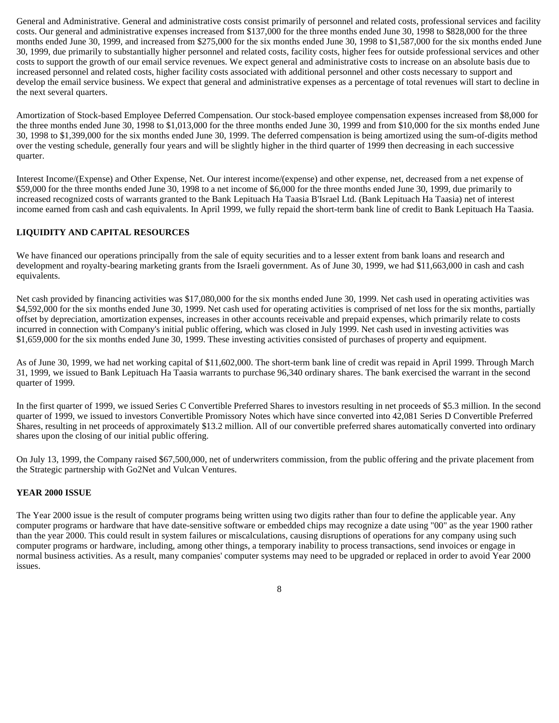General and Administrative. General and administrative costs consist primarily of personnel and related costs, professional services and facility costs. Our general and administrative expenses increased from \$137,000 for the three months ended June 30, 1998 to \$828,000 for the three months ended June 30, 1999, and increased from \$275,000 for the six months ended June 30, 1998 to \$1,587,000 for the six months ended June 30, 1999, due primarily to substantially higher personnel and related costs, facility costs, higher fees for outside professional services and other costs to support the growth of our email service revenues. We expect general and administrative costs to increase on an absolute basis due to increased personnel and related costs, higher facility costs associated with additional personnel and other costs necessary to support and develop the email service business. We expect that general and administrative expenses as a percentage of total revenues will start to decline in the next several quarters.

Amortization of Stock-based Employee Deferred Compensation. Our stock-based employee compensation expenses increased from \$8,000 for the three months ended June 30, 1998 to \$1,013,000 for the three months ended June 30, 1999 and from \$10,000 for the six months ended June 30, 1998 to \$1,399,000 for the six months ended June 30, 1999. The deferred compensation is being amortized using the sum-of-digits method over the vesting schedule, generally four years and will be slightly higher in the third quarter of 1999 then decreasing in each successive quarter.

Interest Income/(Expense) and Other Expense, Net. Our interest income/(expense) and other expense, net, decreased from a net expense of \$59,000 for the three months ended June 30, 1998 to a net income of \$6,000 for the three months ended June 30, 1999, due primarily to increased recognized costs of warrants granted to the Bank Lepituach Ha Taasia B'Israel Ltd. (Bank Lepituach Ha Taasia) net of interest income earned from cash and cash equivalents. In April 1999, we fully repaid the short-term bank line of credit to Bank Lepituach Ha Taasia.

#### **LIQUIDITY AND CAPITAL RESOURCES**

We have financed our operations principally from the sale of equity securities and to a lesser extent from bank loans and research and development and royalty-bearing marketing grants from the Israeli government. As of June 30, 1999, we had \$11,663,000 in cash and cash equivalents.

Net cash provided by financing activities was \$17,080,000 for the six months ended June 30, 1999. Net cash used in operating activities was \$4,592,000 for the six months ended June 30, 1999. Net cash used for operating activities is comprised of net loss for the six months, partially offset by depreciation, amortization expenses, increases in other accounts receivable and prepaid expenses, which primarily relate to costs incurred in connection with Company's initial public offering, which was closed in July 1999. Net cash used in investing activities was \$1,659,000 for the six months ended June 30, 1999. These investing activities consisted of purchases of property and equipment.

As of June 30, 1999, we had net working capital of \$11,602,000. The short-term bank line of credit was repaid in April 1999. Through March 31, 1999, we issued to Bank Lepituach Ha Taasia warrants to purchase 96,340 ordinary shares. The bank exercised the warrant in the second quarter of 1999.

In the first quarter of 1999, we issued Series C Convertible Preferred Shares to investors resulting in net proceeds of \$5.3 million. In the second quarter of 1999, we issued to investors Convertible Promissory Notes which have since converted into 42,081 Series D Convertible Preferred Shares, resulting in net proceeds of approximately \$13.2 million. All of our convertible preferred shares automatically converted into ordinary shares upon the closing of our initial public offering.

On July 13, 1999, the Company raised \$67,500,000, net of underwriters commission, from the public offering and the private placement from the Strategic partnership with Go2Net and Vulcan Ventures.

#### **YEAR 2000 ISSUE**

The Year 2000 issue is the result of computer programs being written using two digits rather than four to define the applicable year. Any computer programs or hardware that have date-sensitive software or embedded chips may recognize a date using "00" as the year 1900 rather than the year 2000. This could result in system failures or miscalculations, causing disruptions of operations for any company using such computer programs or hardware, including, among other things, a temporary inability to process transactions, send invoices or engage in normal business activities. As a result, many companies' computer systems may need to be upgraded or replaced in order to avoid Year 2000 issues.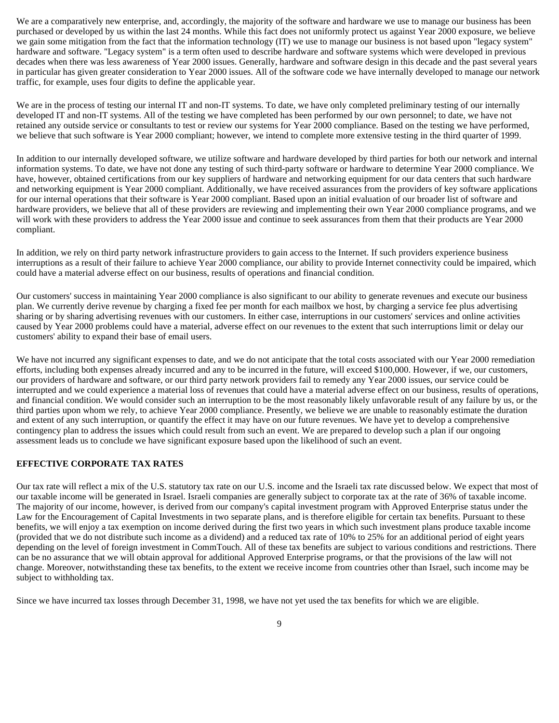We are a comparatively new enterprise, and, accordingly, the majority of the software and hardware we use to manage our business has been purchased or developed by us within the last 24 months. While this fact does not uniformly protect us against Year 2000 exposure, we believe we gain some mitigation from the fact that the information technology (IT) we use to manage our business is not based upon "legacy system" hardware and software. "Legacy system" is a term often used to describe hardware and software systems which were developed in previous decades when there was less awareness of Year 2000 issues. Generally, hardware and software design in this decade and the past several years in particular has given greater consideration to Year 2000 issues. All of the software code we have internally developed to manage our network traffic, for example, uses four digits to define the applicable year.

We are in the process of testing our internal IT and non-IT systems. To date, we have only completed preliminary testing of our internally developed IT and non-IT systems. All of the testing we have completed has been performed by our own personnel; to date, we have not retained any outside service or consultants to test or review our systems for Year 2000 compliance. Based on the testing we have performed, we believe that such software is Year 2000 compliant; however, we intend to complete more extensive testing in the third quarter of 1999.

In addition to our internally developed software, we utilize software and hardware developed by third parties for both our network and internal information systems. To date, we have not done any testing of such third-party software or hardware to determine Year 2000 compliance. We have, however, obtained certifications from our key suppliers of hardware and networking equipment for our data centers that such hardware and networking equipment is Year 2000 compliant. Additionally, we have received assurances from the providers of key software applications for our internal operations that their software is Year 2000 compliant. Based upon an initial evaluation of our broader list of software and hardware providers, we believe that all of these providers are reviewing and implementing their own Year 2000 compliance programs, and we will work with these providers to address the Year 2000 issue and continue to seek assurances from them that their products are Year 2000 compliant.

In addition, we rely on third party network infrastructure providers to gain access to the Internet. If such providers experience business interruptions as a result of their failure to achieve Year 2000 compliance, our ability to provide Internet connectivity could be impaired, which could have a material adverse effect on our business, results of operations and financial condition.

Our customers' success in maintaining Year 2000 compliance is also significant to our ability to generate revenues and execute our business plan. We currently derive revenue by charging a fixed fee per month for each mailbox we host, by charging a service fee plus advertising sharing or by sharing advertising revenues with our customers. In either case, interruptions in our customers' services and online activities caused by Year 2000 problems could have a material, adverse effect on our revenues to the extent that such interruptions limit or delay our customers' ability to expand their base of email users.

We have not incurred any significant expenses to date, and we do not anticipate that the total costs associated with our Year 2000 remediation efforts, including both expenses already incurred and any to be incurred in the future, will exceed \$100,000. However, if we, our customers, our providers of hardware and software, or our third party network providers fail to remedy any Year 2000 issues, our service could be interrupted and we could experience a material loss of revenues that could have a material adverse effect on our business, results of operations, and financial condition. We would consider such an interruption to be the most reasonably likely unfavorable result of any failure by us, or the third parties upon whom we rely, to achieve Year 2000 compliance. Presently, we believe we are unable to reasonably estimate the duration and extent of any such interruption, or quantify the effect it may have on our future revenues. We have yet to develop a comprehensive contingency plan to address the issues which could result from such an event. We are prepared to develop such a plan if our ongoing assessment leads us to conclude we have significant exposure based upon the likelihood of such an event.

#### **EFFECTIVE CORPORATE TAX RATES**

Our tax rate will reflect a mix of the U.S. statutory tax rate on our U.S. income and the Israeli tax rate discussed below. We expect that most of our taxable income will be generated in Israel. Israeli companies are generally subject to corporate tax at the rate of 36% of taxable income. The majority of our income, however, is derived from our company's capital investment program with Approved Enterprise status under the Law for the Encouragement of Capital Investments in two separate plans, and is therefore eligible for certain tax benefits. Pursuant to these benefits, we will enjoy a tax exemption on income derived during the first two years in which such investment plans produce taxable income (provided that we do not distribute such income as a dividend) and a reduced tax rate of 10% to 25% for an additional period of eight years depending on the level of foreign investment in CommTouch. All of these tax benefits are subject to various conditions and restrictions. There can be no assurance that we will obtain approval for additional Approved Enterprise programs, or that the provisions of the law will not change. Moreover, notwithstanding these tax benefits, to the extent we receive income from countries other than Israel, such income may be subject to withholding tax.

Since we have incurred tax losses through December 31, 1998, we have not yet used the tax benefits for which we are eligible.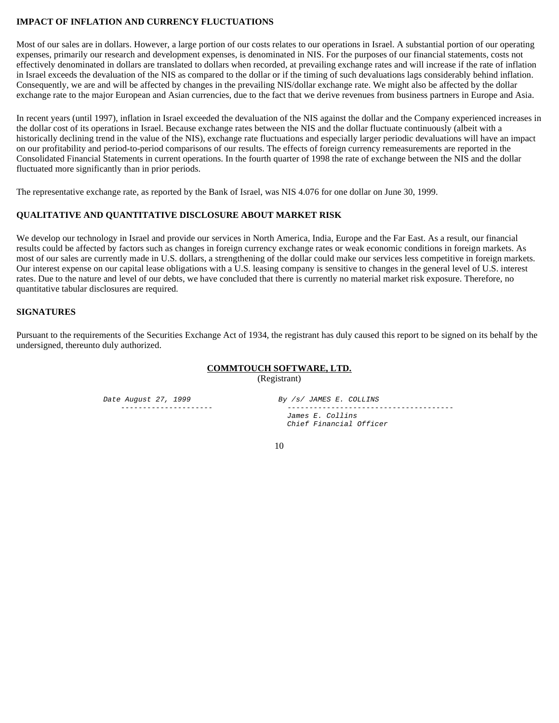#### **IMPACT OF INFLATION AND CURRENCY FLUCTUATIONS**

Most of our sales are in dollars. However, a large portion of our costs relates to our operations in Israel. A substantial portion of our operating expenses, primarily our research and development expenses, is denominated in NIS. For the purposes of our financial statements, costs not effectively denominated in dollars are translated to dollars when recorded, at prevailing exchange rates and will increase if the rate of inflation in Israel exceeds the devaluation of the NIS as compared to the dollar or if the timing of such devaluations lags considerably behind inflation. Consequently, we are and will be affected by changes in the prevailing NIS/dollar exchange rate. We might also be affected by the dollar exchange rate to the major European and Asian currencies, due to the fact that we derive revenues from business partners in Europe and Asia.

In recent years (until 1997), inflation in Israel exceeded the devaluation of the NIS against the dollar and the Company experienced increases in the dollar cost of its operations in Israel. Because exchange rates between the NIS and the dollar fluctuate continuously (albeit with a historically declining trend in the value of the NIS), exchange rate fluctuations and especially larger periodic devaluations will have an impact on our profitability and period-to-period comparisons of our results. The effects of foreign currency remeasurements are reported in the Consolidated Financial Statements in current operations. In the fourth quarter of 1998 the rate of exchange between the NIS and the dollar fluctuated more significantly than in prior periods.

The representative exchange rate, as reported by the Bank of Israel, was NIS 4.076 for one dollar on June 30, 1999.

#### **QUALITATIVE AND QUANTITATIVE DISCLOSURE ABOUT MARKET RISK**

We develop our technology in Israel and provide our services in North America, India, Europe and the Far East. As a result, our financial results could be affected by factors such as changes in foreign currency exchange rates or weak economic conditions in foreign markets. As most of our sales are currently made in U.S. dollars, a strengthening of the dollar could make our services less competitive in foreign markets. Our interest expense on our capital lease obligations with a U.S. leasing company is sensitive to changes in the general level of U.S. interest rates. Due to the nature and level of our debts, we have concluded that there is currently no material market risk exposure. Therefore, no quantitative tabular disclosures are required.

#### **SIGNATURES**

Pursuant to the requirements of the Securities Exchange Act of 1934, the registrant has duly caused this report to be signed on its behalf by the undersigned, thereunto duly authorized.

#### **COMMTOUCH SOFTWARE, LTD.**

(Registrant)

Date August 27, 1999 By /s/ JAMES E. COLLINS

 --------------------- -------------------------------------- James E. Collins Chief Financial Officer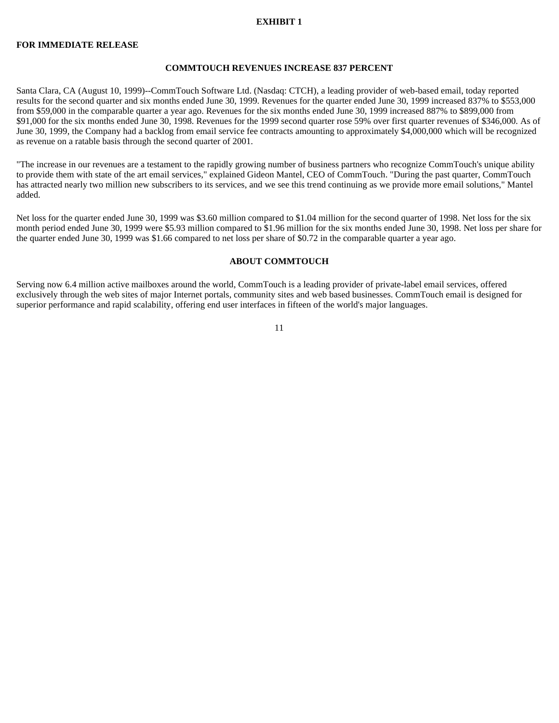#### **EXHIBIT 1**

#### **FOR IMMEDIATE RELEASE**

#### **COMMTOUCH REVENUES INCREASE 837 PERCENT**

Santa Clara, CA (August 10, 1999)--CommTouch Software Ltd. (Nasdaq: CTCH), a leading provider of web-based email, today reported results for the second quarter and six months ended June 30, 1999. Revenues for the quarter ended June 30, 1999 increased 837% to \$553,000 from \$59,000 in the comparable quarter a year ago. Revenues for the six months ended June 30, 1999 increased 887% to \$899,000 from \$91,000 for the six months ended June 30, 1998. Revenues for the 1999 second quarter rose 59% over first quarter revenues of \$346,000. As of June 30, 1999, the Company had a backlog from email service fee contracts amounting to approximately \$4,000,000 which will be recognized as revenue on a ratable basis through the second quarter of 2001.

"The increase in our revenues are a testament to the rapidly growing number of business partners who recognize CommTouch's unique ability to provide them with state of the art email services," explained Gideon Mantel, CEO of CommTouch. "During the past quarter, CommTouch has attracted nearly two million new subscribers to its services, and we see this trend continuing as we provide more email solutions," Mantel added.

Net loss for the quarter ended June 30, 1999 was \$3.60 million compared to \$1.04 million for the second quarter of 1998. Net loss for the six month period ended June 30, 1999 were \$5.93 million compared to \$1.96 million for the six months ended June 30, 1998. Net loss per share for the quarter ended June 30, 1999 was \$1.66 compared to net loss per share of \$0.72 in the comparable quarter a year ago.

#### **ABOUT COMMTOUCH**

Serving now 6.4 million active mailboxes around the world, CommTouch is a leading provider of private-label email services, offered exclusively through the web sites of major Internet portals, community sites and web based businesses. CommTouch email is designed for superior performance and rapid scalability, offering end user interfaces in fifteen of the world's major languages.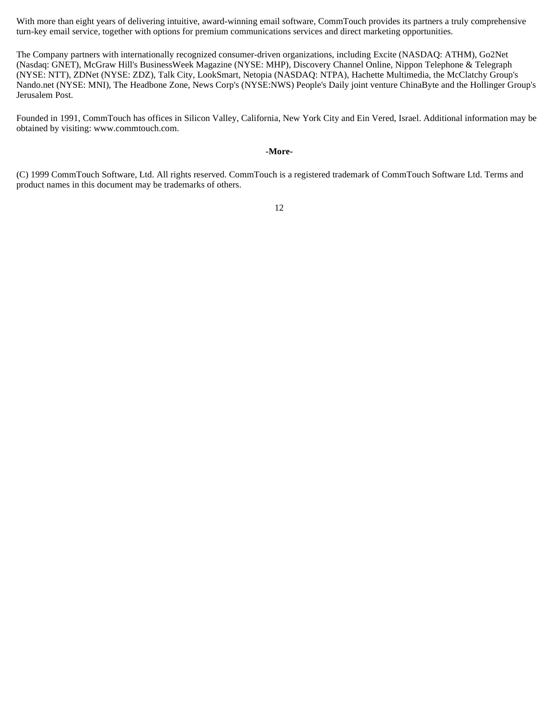With more than eight years of delivering intuitive, award-winning email software, CommTouch provides its partners a truly comprehensive turn-key email service, together with options for premium communications services and direct marketing opportunities.

The Company partners with internationally recognized consumer-driven organizations, including Excite (NASDAQ: ATHM), Go2Net (Nasdaq: GNET), McGraw Hill's BusinessWeek Magazine (NYSE: MHP), Discovery Channel Online, Nippon Telephone & Telegraph (NYSE: NTT), ZDNet (NYSE: ZDZ), Talk City, LookSmart, Netopia (NASDAQ: NTPA), Hachette Multimedia, the McClatchy Group's Nando.net (NYSE: MNI), The Headbone Zone, News Corp's (NYSE:NWS) People's Daily joint venture ChinaByte and the Hollinger Group's Jerusalem Post.

Founded in 1991, CommTouch has offices in Silicon Valley, California, New York City and Ein Vered, Israel. Additional information may be obtained by visiting: www.commtouch.com.

#### **-More-**

(C) 1999 CommTouch Software, Ltd. All rights reserved. CommTouch is a registered trademark of CommTouch Software Ltd. Terms and product names in this document may be trademarks of others.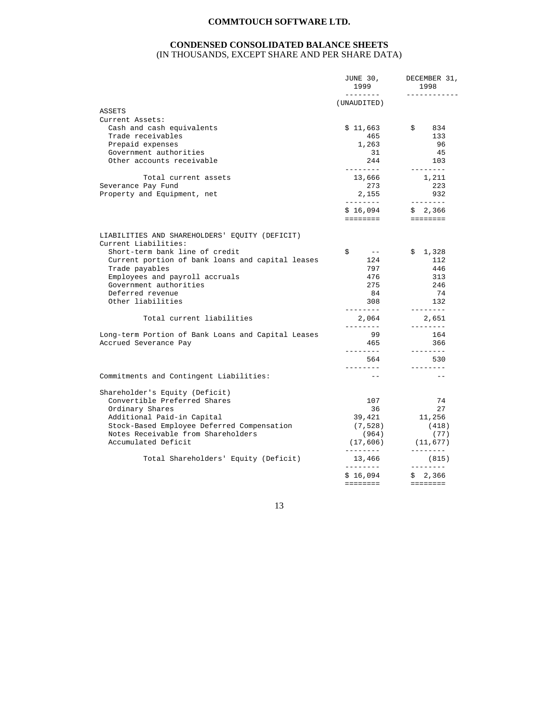#### **CONDENSED CONSOLIDATED BALANCE SHEETS**  (IN THOUSANDS, EXCEPT SHARE AND PER SHARE DATA)

|                                                                        | JUNE 30,<br>1999<br>--------- | DECEMBER 31,<br>1998<br>------------                                                                                                                                                                                                                                                                                                                                                                                                                                                                |
|------------------------------------------------------------------------|-------------------------------|-----------------------------------------------------------------------------------------------------------------------------------------------------------------------------------------------------------------------------------------------------------------------------------------------------------------------------------------------------------------------------------------------------------------------------------------------------------------------------------------------------|
|                                                                        | (UNAUDITED)                   |                                                                                                                                                                                                                                                                                                                                                                                                                                                                                                     |
| ASSETS                                                                 |                               |                                                                                                                                                                                                                                                                                                                                                                                                                                                                                                     |
| Current Assets:                                                        |                               |                                                                                                                                                                                                                                                                                                                                                                                                                                                                                                     |
| Cash and cash equivalents                                              | \$11,663                      | $\mathbb{S}$<br>834                                                                                                                                                                                                                                                                                                                                                                                                                                                                                 |
| Trade receivables                                                      | 465                           | 133                                                                                                                                                                                                                                                                                                                                                                                                                                                                                                 |
| Prepaid expenses                                                       | 1,263                         | 96                                                                                                                                                                                                                                                                                                                                                                                                                                                                                                  |
| Government authorities                                                 | 31                            | -45                                                                                                                                                                                                                                                                                                                                                                                                                                                                                                 |
| Other accounts receivable                                              | 244<br>---------              | 103                                                                                                                                                                                                                                                                                                                                                                                                                                                                                                 |
| Total current assets                                                   | 13,666                        | 1,211                                                                                                                                                                                                                                                                                                                                                                                                                                                                                               |
| Severance Pay Fund                                                     | 273                           | 223                                                                                                                                                                                                                                                                                                                                                                                                                                                                                                 |
| Property and Equipment, net                                            | 2,155                         | 932                                                                                                                                                                                                                                                                                                                                                                                                                                                                                                 |
|                                                                        | ---------<br>\$16,094         | \$2,366                                                                                                                                                                                                                                                                                                                                                                                                                                                                                             |
|                                                                        | ========                      | ========                                                                                                                                                                                                                                                                                                                                                                                                                                                                                            |
| LIABILITIES AND SHAREHOLDERS' EQUITY (DEFICIT)<br>Current Liabilities: |                               |                                                                                                                                                                                                                                                                                                                                                                                                                                                                                                     |
| Short-term bank line of credit                                         | \$<br>$- - -$                 | \$1,328                                                                                                                                                                                                                                                                                                                                                                                                                                                                                             |
| Current portion of bank loans and capital leases                       | 124                           | 112                                                                                                                                                                                                                                                                                                                                                                                                                                                                                                 |
| Trade payables                                                         | 797                           | 446                                                                                                                                                                                                                                                                                                                                                                                                                                                                                                 |
| Employees and payroll accruals                                         | 476                           | 313                                                                                                                                                                                                                                                                                                                                                                                                                                                                                                 |
| Government authorities                                                 | 275                           | 246                                                                                                                                                                                                                                                                                                                                                                                                                                                                                                 |
| Deferred revenue                                                       | 84                            | 74                                                                                                                                                                                                                                                                                                                                                                                                                                                                                                  |
| Other liabilities                                                      | 308<br>---------              | 132<br>$\begin{array}{cccccccccc} \cdots & \cdots & \cdots & \cdots & \cdots & \cdots \end{array}$                                                                                                                                                                                                                                                                                                                                                                                                  |
| Total current liabilities                                              | 2,064<br>--------             | 2,651<br>--------                                                                                                                                                                                                                                                                                                                                                                                                                                                                                   |
| Long-term Portion of Bank Loans and Capital Leases                     | 99                            | 164                                                                                                                                                                                                                                                                                                                                                                                                                                                                                                 |
| Accrued Severance Pay                                                  | 465<br>. _ _ _ _ _ _ _        | 366<br>--------                                                                                                                                                                                                                                                                                                                                                                                                                                                                                     |
|                                                                        | 564                           | 530                                                                                                                                                                                                                                                                                                                                                                                                                                                                                                 |
|                                                                        | ---------                     | --------                                                                                                                                                                                                                                                                                                                                                                                                                                                                                            |
| Commitments and Contingent Liabilities:                                | $ -$                          | $\frac{1}{2}$                                                                                                                                                                                                                                                                                                                                                                                                                                                                                       |
| Shareholder's Equity (Deficit)                                         |                               |                                                                                                                                                                                                                                                                                                                                                                                                                                                                                                     |
| Convertible Preferred Shares                                           | 107                           | 74                                                                                                                                                                                                                                                                                                                                                                                                                                                                                                  |
| Ordinary Shares                                                        | 36                            | 27                                                                                                                                                                                                                                                                                                                                                                                                                                                                                                  |
| Additional Paid-in Capital                                             | 39,421                        | 11,256                                                                                                                                                                                                                                                                                                                                                                                                                                                                                              |
| Stock-Based Employee Deferred Compensation                             | (7, 528)                      | (418)                                                                                                                                                                                                                                                                                                                                                                                                                                                                                               |
| Notes Receivable from Shareholders                                     | (964)                         | (77)                                                                                                                                                                                                                                                                                                                                                                                                                                                                                                |
| Accumulated Deficit                                                    | (17, 606)<br>---------        | (11, 677)<br>$\begin{array}{cccccccccc} \multicolumn{2}{c}{} & \multicolumn{2}{c}{} & \multicolumn{2}{c}{} & \multicolumn{2}{c}{} & \multicolumn{2}{c}{} & \multicolumn{2}{c}{} & \multicolumn{2}{c}{} & \multicolumn{2}{c}{} & \multicolumn{2}{c}{} & \multicolumn{2}{c}{} & \multicolumn{2}{c}{} & \multicolumn{2}{c}{} & \multicolumn{2}{c}{} & \multicolumn{2}{c}{} & \multicolumn{2}{c}{} & \multicolumn{2}{c}{} & \multicolumn{2}{c}{} & \multicolumn{2}{c}{} & \multicolumn{2}{c}{} & \mult$ |
| Total Shareholders' Equity (Deficit)                                   | 13,466<br>________            | (815)<br>. <u>.</u>                                                                                                                                                                                                                                                                                                                                                                                                                                                                                 |
|                                                                        | \$16,094                      | \$2,366                                                                                                                                                                                                                                                                                                                                                                                                                                                                                             |
|                                                                        | ========                      | <b>EEEEEEEE</b>                                                                                                                                                                                                                                                                                                                                                                                                                                                                                     |